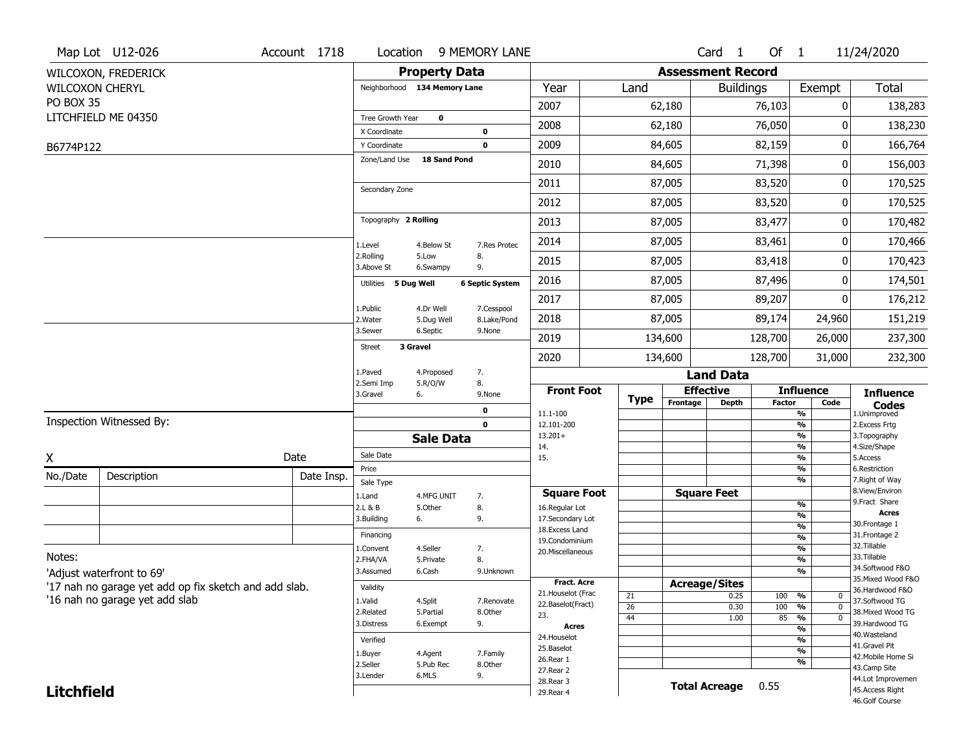|                        | Map Lot U12-026                                       | Account 1718 | Location                      |                      | 9 MEMORY LANE          |                                    |                 |                          | Card 1               | Of $1$                   |                                 | 11/24/2020                           |  |  |
|------------------------|-------------------------------------------------------|--------------|-------------------------------|----------------------|------------------------|------------------------------------|-----------------|--------------------------|----------------------|--------------------------|---------------------------------|--------------------------------------|--|--|
|                        | WILCOXON, FREDERICK                                   |              |                               | <b>Property Data</b> |                        |                                    |                 | <b>Assessment Record</b> |                      |                          |                                 |                                      |  |  |
| <b>WILCOXON CHERYL</b> |                                                       |              | Neighborhood 134 Memory Lane  |                      |                        | Year                               | Land            |                          | <b>Buildings</b>     |                          | Exempt                          | Total                                |  |  |
| PO BOX 35              |                                                       |              |                               |                      |                        | 2007                               |                 | 62,180                   |                      | 76,103                   | 0                               | 138,283                              |  |  |
|                        | LITCHFIELD ME 04350                                   |              | Tree Growth Year              | 0                    |                        | 2008                               |                 | 62,180                   |                      | 76,050                   | ŋ                               | 138,230                              |  |  |
|                        |                                                       |              | X Coordinate                  |                      | 0                      |                                    | 84,605          |                          |                      |                          |                                 |                                      |  |  |
| B6774P122              |                                                       |              | Y Coordinate<br>Zone/Land Use | 18 Sand Pond         | $\mathbf 0$            | 2009                               |                 |                          |                      | 82,159                   | 0                               | 166,764                              |  |  |
|                        |                                                       |              |                               |                      |                        | 2010                               |                 | 84,605                   |                      | 71,398                   | 0                               | 156,003                              |  |  |
|                        |                                                       |              | Secondary Zone                |                      |                        | 2011                               |                 | 87,005                   |                      | 83,520                   | 0                               | 170,525                              |  |  |
|                        |                                                       |              |                               |                      |                        | 2012                               |                 | 87,005                   |                      | 83,520                   | 0                               | 170,525                              |  |  |
|                        |                                                       |              | Topography 2 Rolling          |                      |                        | 2013                               |                 | 87,005                   |                      | 83,477                   | 0                               | 170,482                              |  |  |
|                        |                                                       |              | 1.Level                       | 4.Below St           | 7.Res Protec           | 2014                               |                 | 87,005                   |                      | 83,461                   | 0                               | 170,466                              |  |  |
|                        |                                                       |              | 2.Rolling<br>3.Above St       | 5.Low<br>6.Swampy    | 8.<br>9.               | 2015                               |                 | 87,005                   |                      | 83,418                   | 0                               | 170,423                              |  |  |
|                        |                                                       |              | 5 Dug Well<br>Utilities       |                      | <b>6 Septic System</b> | 2016                               |                 | 87,005                   |                      | 87,496                   | 0                               | 174,501                              |  |  |
|                        |                                                       |              | 1.Public                      | 4.Dr Well            | 7.Cesspool             | 2017                               |                 | 87,005                   |                      | 89,207                   | 0                               | 176,212                              |  |  |
|                        |                                                       |              | 2. Water                      | 5.Dug Well           | 8.Lake/Pond            | 2018                               |                 | 87,005                   |                      | 89,174                   | 24,960                          | 151,219                              |  |  |
|                        |                                                       |              | 3.Sewer                       | 6.Septic             | 9.None                 | 2019                               |                 | 134,600                  |                      | 128,700                  | 26,000                          | 237,300                              |  |  |
|                        |                                                       |              | 3 Gravel<br><b>Street</b>     |                      |                        | 2020                               |                 | 134,600                  |                      | 128,700                  | 31,000                          | 232,300                              |  |  |
|                        |                                                       |              | 1.Paved                       | 4.Proposed           | 7.                     |                                    |                 |                          | <b>Land Data</b>     |                          |                                 |                                      |  |  |
|                        |                                                       |              | 2.Semi Imp<br>3.Gravel<br>6.  | 5.R/O/W              | 8.<br>9.None           | <b>Front Foot</b>                  |                 |                          | <b>Effective</b>     |                          | <b>Influence</b>                | <b>Influence</b>                     |  |  |
|                        |                                                       |              |                               |                      | 0                      | 11.1-100                           | <b>Type</b>     | Frontage                 | <b>Depth</b>         | Factor                   | Code<br>%                       | <b>Codes</b><br>1.Unimproved         |  |  |
|                        | Inspection Witnessed By:                              |              |                               |                      | $\mathbf 0$            | 12.101-200                         |                 |                          |                      | $\overline{\frac{9}{6}}$ | $\overline{\frac{9}{6}}$        | 2. Excess Frtg                       |  |  |
|                        |                                                       |              |                               | <b>Sale Data</b>     |                        | $13.201+$<br>14.                   |                 |                          |                      |                          |                                 | 3. Topography<br>4.Size/Shape        |  |  |
| Χ                      |                                                       | Date         | Sale Date                     |                      |                        | 15.                                |                 |                          |                      |                          | %<br>$\overline{\frac{9}{6}}$   | 5.Access                             |  |  |
| No./Date               | Description                                           | Date Insp.   | Price                         |                      |                        |                                    |                 |                          |                      |                          | %<br>%                          | 6.Restriction<br>7. Right of Way     |  |  |
|                        |                                                       |              | Sale Type<br>1.Land           | 4.MFG UNIT           | 7.                     | <b>Square Foot</b>                 |                 | <b>Square Feet</b>       |                      |                          |                                 | 8.View/Environ                       |  |  |
|                        |                                                       |              | 2.L & B                       | 5.0ther              | 8.                     | 16.Regular Lot                     |                 |                          |                      |                          | %                               | 9.Fract Share<br><b>Acres</b>        |  |  |
|                        |                                                       |              | 3.Building<br>6.              |                      | 9.                     | 17.Secondary Lot<br>18.Excess Land |                 |                          |                      |                          | %<br>%                          | 30. Frontage 1                       |  |  |
|                        |                                                       |              | Financing                     |                      |                        | 19.Condominium                     |                 |                          |                      |                          | %                               | 31. Frontage 2                       |  |  |
| Notes:                 |                                                       |              | 1.Convent                     | 4.Seller             | 7.                     | 20. Miscellaneous                  |                 |                          |                      |                          | %                               | 32.Tillable<br>33.Tillable           |  |  |
|                        |                                                       |              | 2.FHA/VA<br>3.Assumed         | 5.Private<br>6.Cash  | 8.<br>9.Unknown        |                                    |                 |                          |                      |                          | %<br>%                          | 34.Softwood F&O                      |  |  |
|                        | 'Adjust waterfront to 69'                             |              |                               |                      |                        | <b>Fract. Acre</b>                 |                 |                          | <b>Acreage/Sites</b> |                          |                                 | 35. Mixed Wood F&O                   |  |  |
|                        | '17 nah no garage yet add op fix sketch and add slab. |              | Validity                      |                      |                        | 21. Houselot (Frac                 | 21              |                          | 0.25                 | 100                      | %<br>0                          | 36.Hardwood F&O                      |  |  |
|                        | '16 nah no garage yet add slab                        |              | 1.Valid<br>2.Related          | 4.Split<br>5.Partial | 7.Renovate<br>8.Other  | 22.Baselot(Fract)                  | $\overline{26}$ |                          | 0.30                 | 100                      | $\overline{\mathfrak{o}}$<br>%  | 37.Softwood TG<br>38. Mixed Wood TG  |  |  |
|                        |                                                       |              | 3.Distress                    | 6.Exempt             | 9.                     | 23.                                | 44              |                          | 1.00                 | 85                       | $\frac{9}{6}$<br>$\overline{0}$ | 39.Hardwood TG                       |  |  |
|                        |                                                       |              |                               |                      |                        | Acres<br>24. Houselot              |                 |                          |                      |                          | $\overline{\frac{9}{6}}$        | 40. Wasteland                        |  |  |
|                        |                                                       |              | Verified                      |                      |                        | 25.Baselot                         |                 |                          |                      |                          | %<br>$\overline{\frac{9}{6}}$   | 41.Gravel Pit                        |  |  |
|                        |                                                       |              | 1.Buyer<br>2.Seller           | 4.Agent<br>5.Pub Rec | 7.Family<br>8.Other    | 26.Rear 1                          |                 |                          |                      |                          | %                               | 42. Mobile Home Si<br>43.Camp Site   |  |  |
|                        |                                                       |              | 6.MLS<br>9.<br>3.Lender       |                      |                        | 27.Rear 2                          |                 |                          |                      |                          |                                 |                                      |  |  |
|                        |                                                       |              |                               |                      |                        |                                    |                 |                          |                      |                          |                                 |                                      |  |  |
| <b>Litchfield</b>      |                                                       |              |                               |                      |                        | 28. Rear 3<br>29. Rear 4           |                 |                          | <b>Total Acreage</b> | 0.55                     |                                 | 44.Lot Improvemen<br>45.Access Right |  |  |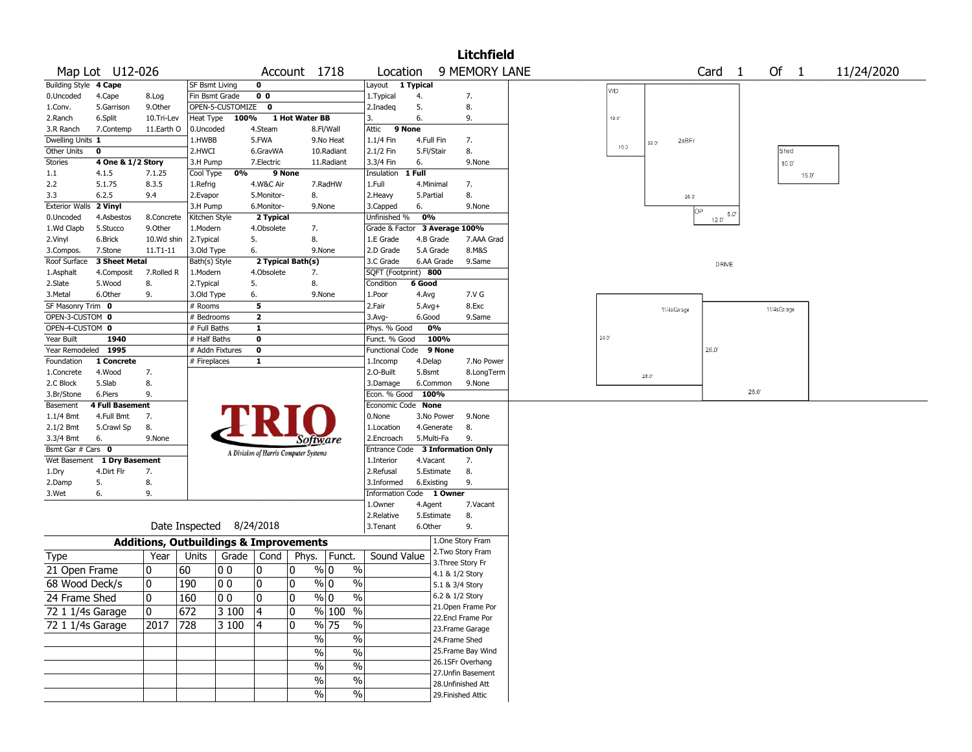|                        | <b>Litchfield</b>      |            |                                                   |                  |                                       |                |               |                                  |            |                                    |                                       |  |       |                         |                   |              |                |            |
|------------------------|------------------------|------------|---------------------------------------------------|------------------|---------------------------------------|----------------|---------------|----------------------------------|------------|------------------------------------|---------------------------------------|--|-------|-------------------------|-------------------|--------------|----------------|------------|
|                        | Map Lot U12-026        |            |                                                   |                  |                                       | Account 1718   |               | Location                         |            |                                    | 9 MEMORY LANE                         |  |       |                         | Card <sub>1</sub> | Of 1         |                | 11/24/2020 |
| Building Style 4 Cape  |                        |            | <b>SF Bsmt Living</b>                             |                  | $\mathbf 0$                           |                |               | Layout 1 Typical                 |            |                                    |                                       |  | WD    |                         |                   |              |                |            |
| 0.Uncoded              | 4.Cape                 | 8.Log      | Fin Bsmt Grade                                    |                  | 0 <sub>0</sub>                        |                |               | 1. Typical                       | 4.         |                                    | 7.                                    |  |       |                         |                   |              |                |            |
| 1.Conv.                | 5.Garrison             | 9.0ther    |                                                   | OPEN-5-CUSTOMIZE | 0                                     |                |               | 2.Inadeg                         | 5.         |                                    | 8.                                    |  |       |                         |                   |              |                |            |
| 2.Ranch                | 6.Split                | 10.Tri-Lev | Heat Type                                         | 100%             |                                       | 1 Hot Water BB |               | 3.                               | 6.         |                                    | 9.                                    |  | 19.0' |                         |                   |              |                |            |
| 3.R Ranch              | 7.Contemp              | 11.Earth O | 0.Uncoded                                         |                  | 4.Steam                               |                | 8.Fl/Wall     | 9 None<br>Attic                  |            |                                    |                                       |  |       |                         |                   |              |                |            |
| Dwelling Units 1       |                        |            | 1.HWBB                                            |                  | 5.FWA                                 |                | 9.No Heat     | 1.1/4 Fin                        | 4.Full Fin |                                    | 7.                                    |  |       | 2sBFr<br>$32.0^{\circ}$ |                   |              |                |            |
| Other Units            | 0                      |            | 2.HWCI                                            |                  | 6.GravWA                              |                | 10.Radiant    | 2.1/2 Fin                        | 5.Fl/Stair |                                    | 8.                                    |  | 10.0  |                         |                   | Shed         |                |            |
| <b>Stories</b>         | 4 One & 1/2 Story      |            | 3.H Pump                                          |                  | 7.Electric                            |                | 11.Radiant    | 3.3/4 Fin                        | 6.         |                                    | 9.None                                |  |       |                         |                   | $10.0^\circ$ |                |            |
| 1.1                    | 4.1.5                  | 7.1.25     | Cool Type                                         | 0%               |                                       | 9 None         |               | Insulation                       | 1 Full     |                                    |                                       |  |       |                         |                   |              | $16.0^{\circ}$ |            |
| 2.2                    | 5.1.75                 | 8.3.5      | 1.Refrig                                          |                  | 4.W&C Air                             |                | 7.RadHW       | 1.Full                           | 4.Minimal  |                                    | 7.                                    |  |       |                         |                   |              |                |            |
| 3.3                    | 6.2.5                  | 9.4        | 2.Evapor                                          |                  | 5.Monitor-                            | 8.             |               | 2. Heavy                         | 5.Partial  |                                    | 8.                                    |  |       | $25.0^\circ$            |                   |              |                |            |
| Exterior Walls 2 Vinyl |                        |            | 3.H Pump                                          |                  | 6.Monitor-                            |                | 9.None        | 3.Capped                         | 6.         |                                    | 9.None                                |  |       |                         | OP                |              |                |            |
| 0.Uncoded              | 4.Asbestos             | 8.Concrete | Kitchen Style                                     |                  | 2 Typical                             |                |               | Unfinished %                     | 0%         |                                    |                                       |  |       |                         | 5.0<br>12.0'      |              |                |            |
| 1.Wd Clapb             | 5.Stucco               | 9.Other    | 1.Modern                                          |                  | 4.Obsolete                            | 7.             |               | Grade & Factor                   |            |                                    | 3 Average 100%                        |  |       |                         |                   |              |                |            |
| 2.Vinyl                | 6.Brick                | 10.Wd shin | 2.Typical                                         |                  | 5.                                    | 8.             |               | 1.E Grade                        | 4.B Grade  |                                    | 7.AAA Grad                            |  |       |                         |                   |              |                |            |
| 3.Compos.              | 7.Stone                | 11.T1-11   | 3.Old Type                                        |                  | 6.                                    |                | 9.None        | 2.D Grade                        | 5.A Grade  |                                    | 8.M&S                                 |  |       |                         |                   |              |                |            |
| Roof Surface           | <b>3 Sheet Metal</b>   |            | Bath(s) Style                                     |                  | 2 Typical Bath(s)                     |                |               | 3.C Grade                        |            | 6.AA Grade                         | 9.Same                                |  |       |                         | DRIVE             |              |                |            |
| 1.Asphalt              | 4.Composit             | 7.Rolled R | 1.Modern                                          |                  | 4.Obsolete                            | 7.             |               | SQFT (Footprint) 800             |            |                                    |                                       |  |       |                         |                   |              |                |            |
| 2.Slate                | 5.Wood                 | 8.         | 2.Typical                                         |                  | 5.                                    | 8.             |               | Condition                        | 6 Good     |                                    |                                       |  |       |                         |                   |              |                |            |
| 3.Metal                | 6.Other                | 9.         | 3.Old Type                                        |                  | 6.                                    |                | 9.None        | 1.Poor                           | 4.Avg      |                                    | 7.V G                                 |  |       |                         |                   |              |                |            |
| SF Masonry Trim 0      |                        |            | # Rooms                                           |                  | 5                                     |                |               | 2.Fair                           | $5.Avg+$   |                                    | 8.Exc                                 |  |       | 11/4sGarage             |                   | 11/4sGarage  |                |            |
| OPEN-3-CUSTOM 0        |                        |            | # Bedrooms                                        |                  | $\mathbf{2}$                          |                |               | 3.Avg-                           | 6.Good     |                                    | 9.Same                                |  |       |                         |                   |              |                |            |
| OPEN-4-CUSTOM 0        |                        |            | # Full Baths                                      |                  | $\mathbf{1}$                          |                |               | Phys. % Good                     | 0%         |                                    |                                       |  |       |                         |                   |              |                |            |
| Year Built             | 1940                   |            | # Half Baths                                      |                  | 0                                     |                |               | Funct. % Good                    |            | 100%                               |                                       |  | 24.0  |                         |                   |              |                |            |
| Year Remodeled 1995    |                        |            | # Addn Fixtures                                   |                  | 0                                     |                |               | Functional Code                  |            | 9 None                             |                                       |  |       |                         | 26.0              |              |                |            |
| Foundation             | 1 Concrete             |            | # Fireplaces                                      |                  | $\mathbf{1}$                          |                |               | 1.Incomp                         | 4.Delap    |                                    | 7.No Power                            |  |       |                         |                   |              |                |            |
| 1.Concrete             | 4.Wood                 | 7.         |                                                   |                  |                                       |                |               | 2.O-Built                        | 5.Bsmt     |                                    | 8.LongTerm                            |  |       | $28.0^{\circ}$          |                   |              |                |            |
| 2.C Block              | 5.Slab                 | 8.         |                                                   |                  |                                       |                |               | 3.Damage                         | 6.Common   |                                    | 9.None                                |  |       |                         |                   |              |                |            |
| 3.Br/Stone             | 6.Piers                | 9.         |                                                   |                  |                                       |                |               | Econ. % Good                     | 100%       |                                    |                                       |  |       |                         |                   | 28.0'        |                |            |
| Basement               | <b>4 Full Basement</b> |            |                                                   |                  |                                       |                |               | Economic Code None               |            |                                    |                                       |  |       |                         |                   |              |                |            |
| $1.1/4$ Bmt            | 4.Full Bmt             | 7.         |                                                   |                  |                                       |                |               | 0.None                           |            | 3.No Power                         | 9.None                                |  |       |                         |                   |              |                |            |
| 2.1/2 Bmt              | 5.Crawl Sp             | 8.         |                                                   |                  |                                       |                |               | 1.Location                       |            | 4.Generate                         | 8.                                    |  |       |                         |                   |              |                |            |
| 3.3/4 Bmt              | 6.                     | 9.None     |                                                   |                  |                                       |                | Software      | 2.Encroach                       | 5.Multi-Fa |                                    | 9.                                    |  |       |                         |                   |              |                |            |
| Bsmt Gar # Cars 0      |                        |            |                                                   |                  | A Division of Harris Computer Systems |                |               | Entrance Code 3 Information Only |            |                                    |                                       |  |       |                         |                   |              |                |            |
| Wet Basement           | 1 Dry Basement         |            |                                                   |                  |                                       |                |               | 1.Interior                       | 4.Vacant   |                                    | 7.                                    |  |       |                         |                   |              |                |            |
| 1.Dry                  | 4.Dirt Flr             | 7.         |                                                   |                  |                                       |                |               | 2.Refusal                        |            | 5.Estimate                         | 8.                                    |  |       |                         |                   |              |                |            |
| 2.Damp                 | 5.                     | 8.         |                                                   |                  |                                       |                |               | 3.Informed                       | 6.Existing |                                    | 9.                                    |  |       |                         |                   |              |                |            |
| 3.Wet                  | 6.                     | 9.         |                                                   |                  |                                       |                |               | Information Code 1 Owner         |            |                                    |                                       |  |       |                         |                   |              |                |            |
|                        |                        |            |                                                   |                  |                                       |                |               | 1.0wner                          | 4.Agent    |                                    | 7.Vacant                              |  |       |                         |                   |              |                |            |
|                        |                        |            |                                                   |                  |                                       |                |               | 2.Relative                       | 5.Estimate |                                    | 8.                                    |  |       |                         |                   |              |                |            |
|                        |                        |            | Date Inspected 8/24/2018                          |                  |                                       |                |               | 3.Tenant                         | 6.Other    |                                    | 9.                                    |  |       |                         |                   |              |                |            |
|                        |                        |            | <b>Additions, Outbuildings &amp; Improvements</b> |                  |                                       |                |               |                                  |            |                                    | 1.One Story Fram                      |  |       |                         |                   |              |                |            |
| Type                   |                        | Year       | Units                                             | Grade   Cond     |                                       | Phys.          | Funct.        | Sound Value                      |            |                                    | 2. Two Story Fram                     |  |       |                         |                   |              |                |            |
| 21 Open Frame          |                        | 10         | 60                                                | 00               | 0                                     | 0              | % 0<br>$\%$   |                                  |            |                                    | 3. Three Story Fr                     |  |       |                         |                   |              |                |            |
| 68 Wood Deck/s         |                        | 10         | 190                                               | 00               | 0                                     | 0              | % 0<br>$\%$   |                                  |            | 4.1 & 1/2 Story<br>5.1 & 3/4 Story |                                       |  |       |                         |                   |              |                |            |
|                        |                        |            |                                                   |                  |                                       |                |               |                                  |            |                                    |                                       |  |       |                         |                   |              |                |            |
| 24 Frame Shed          |                        | 0          | 160                                               | 0 <sub>0</sub>   | $\pmb{0}$                             | $\Omega$       | $\sqrt[6]{0}$ | $\overline{\%}$                  |            |                                    | 6.2 & 1/2 Story<br>21. Open Frame Por |  |       |                         |                   |              |                |            |
| 72 1 1/4s Garage       |                        | 10         | 672                                               | 3 100            | 4                                     | 0              | % 100 %       |                                  |            |                                    | 22.Encl Frame Por                     |  |       |                         |                   |              |                |            |
| 72 1 1/4s Garage       |                        | 2017       | 728                                               | 3 100            | 4                                     | 0              | % 75          | %                                |            |                                    | 23. Frame Garage                      |  |       |                         |                   |              |                |            |
|                        |                        |            |                                                   |                  |                                       |                | $\%$          | $\%$                             |            |                                    | 24.Frame Shed                         |  |       |                         |                   |              |                |            |
|                        |                        |            |                                                   |                  |                                       |                |               |                                  |            |                                    | 25. Frame Bay Wind                    |  |       |                         |                   |              |                |            |
|                        |                        |            |                                                   |                  |                                       |                | $\%$          | $\%$                             |            |                                    | 26.1SFr Overhang                      |  |       |                         |                   |              |                |            |
|                        |                        |            |                                                   |                  |                                       |                | $\%$          | $\overline{\frac{0}{6}}$         |            |                                    | 27. Unfin Basement                    |  |       |                         |                   |              |                |            |
|                        |                        |            |                                                   |                  |                                       |                | $\%$<br>$\%$  |                                  |            |                                    | 28. Unfinished Att                    |  |       |                         |                   |              |                |            |
|                        |                        |            |                                                   |                  |                                       |                | %             | %                                |            |                                    | 29. Finished Attic                    |  |       |                         |                   |              |                |            |
|                        |                        |            |                                                   |                  |                                       |                |               |                                  |            |                                    |                                       |  |       |                         |                   |              |                |            |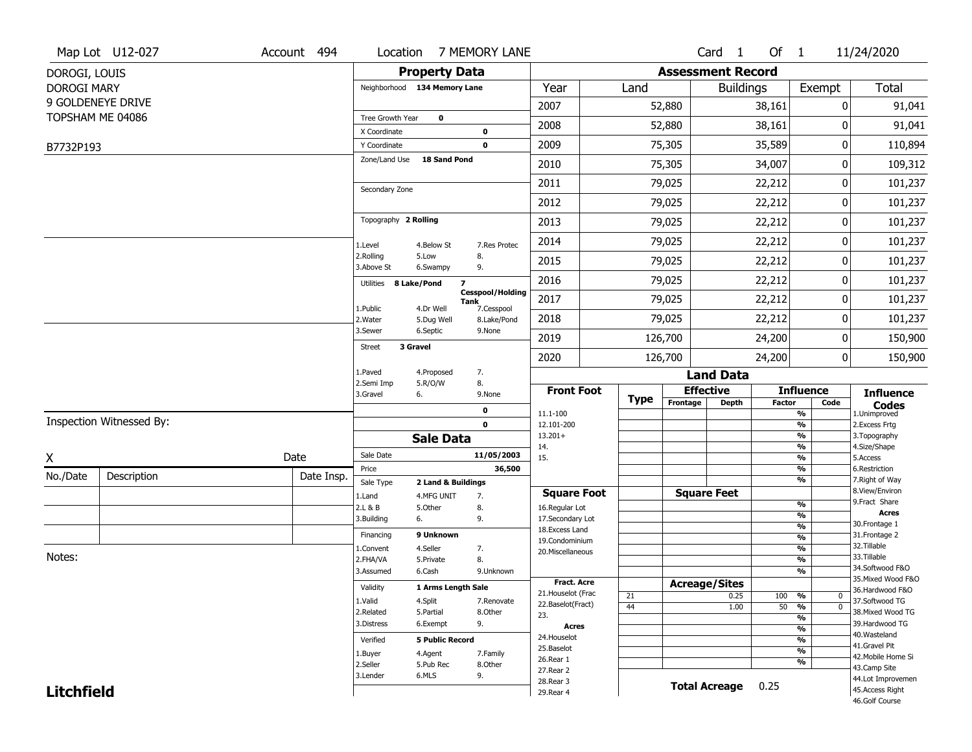|                    | Map Lot U12-027          | Account 494 |                                                             |                                  | Location 7 MEMORY LANE                        |                                          |          |                      | Card 1               | Of 1          |                                | 11/24/2020                            |  |  |  |  |
|--------------------|--------------------------|-------------|-------------------------------------------------------------|----------------------------------|-----------------------------------------------|------------------------------------------|----------|----------------------|----------------------|---------------|--------------------------------|---------------------------------------|--|--|--|--|
| DOROGI, LOUIS      |                          |             |                                                             | <b>Property Data</b>             |                                               | <b>Assessment Record</b>                 |          |                      |                      |               |                                |                                       |  |  |  |  |
| <b>DOROGI MARY</b> |                          |             |                                                             | Neighborhood 134 Memory Lane     |                                               | Year                                     | Land     |                      | <b>Buildings</b>     |               | Exempt                         | Total                                 |  |  |  |  |
|                    | 9 GOLDENEYE DRIVE        |             |                                                             |                                  |                                               | 2007                                     |          | 52,880               |                      | 38,161        | 0                              | 91,041                                |  |  |  |  |
|                    | TOPSHAM ME 04086         |             | Tree Growth Year                                            | $\mathbf 0$                      |                                               | 2008                                     |          | 52,880               |                      | 38,161        | 0                              | 91,041                                |  |  |  |  |
|                    |                          |             | X Coordinate                                                |                                  | $\mathbf 0$                                   |                                          |          |                      |                      |               |                                |                                       |  |  |  |  |
| B7732P193          |                          |             | Y Coordinate<br>Zone/Land Use                               | <b>18 Sand Pond</b>              | $\mathbf 0$                                   | 2009                                     |          | 75,305               |                      | 35,589        | 0                              | 110,894                               |  |  |  |  |
|                    |                          |             |                                                             |                                  |                                               | 2010                                     |          | 75,305               |                      | 34,007        | 0                              | 109,312                               |  |  |  |  |
|                    |                          |             | Secondary Zone                                              |                                  |                                               | 2011                                     |          | 79,025               |                      | 22,212        | 0                              | 101,237                               |  |  |  |  |
|                    |                          |             |                                                             |                                  |                                               | 2012                                     |          | 79,025               |                      | 22,212        | 0                              | 101,237                               |  |  |  |  |
|                    |                          |             | Topography 2 Rolling                                        |                                  |                                               | 2013                                     |          | 79,025               |                      | 22,212        | 0                              | 101,237                               |  |  |  |  |
|                    |                          |             | 1.Level                                                     | 4.Below St                       | 7.Res Protec                                  | 2014                                     |          | 79,025               |                      | 22,212        | 0                              | 101,237                               |  |  |  |  |
|                    |                          |             | 2.Rolling<br>3.Above St                                     | 5.Low<br>6.Swampy                | 8.<br>9.                                      | 2015                                     |          | 79,025               |                      | 22,212        | 0                              | 101,237                               |  |  |  |  |
|                    |                          |             | Utilities                                                   | 8 Lake/Pond                      | $\overline{\mathbf{z}}$                       | 2016                                     |          | 79,025               |                      | 22,212        | 0                              | 101,237                               |  |  |  |  |
|                    |                          |             | 1.Public                                                    | 4.Dr Well                        | <b>Cesspool/Holding</b><br>Tank<br>7.Cesspool | 2017                                     |          | 79,025               |                      | 22,212        | 0                              | 101,237                               |  |  |  |  |
|                    |                          |             | 2. Water                                                    | 5.Dug Well                       | 8.Lake/Pond                                   | 2018                                     |          | 79,025               |                      | 22,212        | 0                              | 101,237                               |  |  |  |  |
|                    |                          |             | 3.Sewer                                                     | 6.Septic                         | 9.None                                        | 2019                                     |          | 126,700              |                      | 24,200        | 0                              | 150,900                               |  |  |  |  |
|                    |                          |             | <b>Street</b>                                               | 3 Gravel                         |                                               | 2020                                     |          | 126,700              |                      | 24,200        | 0                              | 150,900                               |  |  |  |  |
|                    |                          |             | 1.Paved                                                     | 4.Proposed                       | 7.                                            |                                          |          |                      | <b>Land Data</b>     |               |                                |                                       |  |  |  |  |
|                    |                          |             | 2.Semi Imp<br>3.Gravel                                      | 5.R/O/W<br>6.                    | 8.<br>9.None                                  | <b>Front Foot</b>                        |          |                      | <b>Effective</b>     |               | <b>Influence</b>               | <b>Influence</b>                      |  |  |  |  |
|                    |                          |             |                                                             |                                  | 0                                             | 11.1-100                                 | Type     | Frontage             | Depth                | <b>Factor</b> | Code<br>$\frac{9}{6}$          | <b>Codes</b><br>1.Unimproved          |  |  |  |  |
|                    | Inspection Witnessed By: |             |                                                             |                                  | $\mathbf 0$                                   | 12.101-200                               |          |                      |                      |               | $\frac{9}{6}$                  | 2.Excess Frtg                         |  |  |  |  |
|                    |                          |             | <b>Sale Data</b>                                            |                                  |                                               | $13.201+$<br>14.                         |          |                      |                      |               | $\frac{9}{6}$<br>$\frac{9}{6}$ | 3. Topography<br>4.Size/Shape         |  |  |  |  |
| X                  |                          | Date        | Sale Date                                                   |                                  | 11/05/2003                                    | 15.                                      |          |                      |                      |               | $\frac{9}{6}$                  | 5.Access                              |  |  |  |  |
| No./Date           | Description              | Date Insp.  | Price                                                       |                                  | 36,500                                        |                                          |          |                      |                      |               | $\frac{9}{6}$<br>$\frac{9}{6}$ | 6.Restriction<br>7. Right of Way      |  |  |  |  |
|                    |                          |             | Sale Type<br>1.Land                                         | 2 Land & Buildings<br>4.MFG UNIT | 7.                                            | <b>Square Foot</b>                       |          | <b>Square Feet</b>   |                      |               |                                | 8.View/Environ                        |  |  |  |  |
|                    |                          |             | 2.L & B                                                     | 5.Other                          | 8.                                            | 16.Regular Lot                           |          |                      |                      |               | $\frac{9}{6}$                  | 9.Fract Share                         |  |  |  |  |
|                    |                          |             | 3.Building                                                  | 6.                               | 9.                                            | 17.Secondary Lot                         |          |                      |                      |               | $\frac{9}{6}$<br>$\frac{9}{6}$ | <b>Acres</b><br>30. Frontage 1        |  |  |  |  |
|                    |                          |             | Financing                                                   | 9 Unknown                        |                                               | 18. Excess Land<br>19.Condominium        |          |                      |                      |               | $\frac{9}{6}$                  | 31. Frontage 2                        |  |  |  |  |
|                    |                          |             | 1.Convent                                                   | 4.Seller                         | 7.                                            | 20.Miscellaneous                         |          |                      |                      |               | $\frac{9}{6}$                  | 32.Tillable                           |  |  |  |  |
| Notes:             |                          |             | 2.FHA/VA                                                    | 5.Private                        | 8.                                            |                                          |          |                      |                      |               | $\frac{9}{6}$                  | 33.Tillable                           |  |  |  |  |
|                    |                          |             | 3.Assumed                                                   | 6.Cash                           | 9.Unknown                                     |                                          |          |                      |                      |               | $\frac{9}{6}$                  | 34.Softwood F&O<br>35. Mixed Wood F&O |  |  |  |  |
|                    |                          |             | Validity                                                    | 1 Arms Length Sale               |                                               | <b>Fract. Acre</b><br>21. Houselot (Frac |          | <b>Acreage/Sites</b> |                      |               |                                | 36.Hardwood F&O                       |  |  |  |  |
|                    |                          |             | 1.Valid                                                     | 4.Split                          | 7.Renovate                                    | 22.Baselot(Fract)                        | 21<br>44 |                      | 0.25                 | 100 %         | 0<br>$\overline{0}$            | 37.Softwood TG                        |  |  |  |  |
|                    |                          |             | 2.Related                                                   | 5.Partial                        | 8.Other                                       | 23.                                      |          |                      | 1.00                 |               | $50 - 96$<br>$\frac{9}{6}$     | 38. Mixed Wood TG                     |  |  |  |  |
|                    |                          |             | 3.Distress                                                  | 6.Exempt                         | 9.                                            | Acres                                    |          |                      |                      |               | $\frac{9}{6}$                  | 39.Hardwood TG                        |  |  |  |  |
|                    |                          |             | Verified                                                    | <b>5 Public Record</b>           |                                               | 24. Houselot                             |          |                      |                      |               | $\frac{9}{6}$                  | 40. Wasteland                         |  |  |  |  |
|                    |                          |             | 1.Buyer                                                     | 4.Agent                          | 7.Family                                      | 25.Baselot                               |          |                      |                      |               | $\frac{9}{6}$                  | 41.Gravel Pit<br>42. Mobile Home Si   |  |  |  |  |
|                    |                          |             | 2.Seller<br>5.Pub Rec<br>8.Other<br>9.<br>3.Lender<br>6.MLS |                                  |                                               | 26.Rear 1                                |          |                      |                      |               | %                              | 43.Camp Site                          |  |  |  |  |
|                    |                          |             |                                                             |                                  |                                               | 27. Rear 2<br>28. Rear 3                 |          |                      |                      |               |                                | 44.Lot Improvemen                     |  |  |  |  |
| <b>Litchfield</b>  |                          |             |                                                             |                                  |                                               | 29. Rear 4                               |          |                      | <b>Total Acreage</b> | 0.25          |                                | 45.Access Right                       |  |  |  |  |
|                    |                          |             |                                                             |                                  |                                               |                                          |          |                      |                      |               |                                | 46.Golf Course                        |  |  |  |  |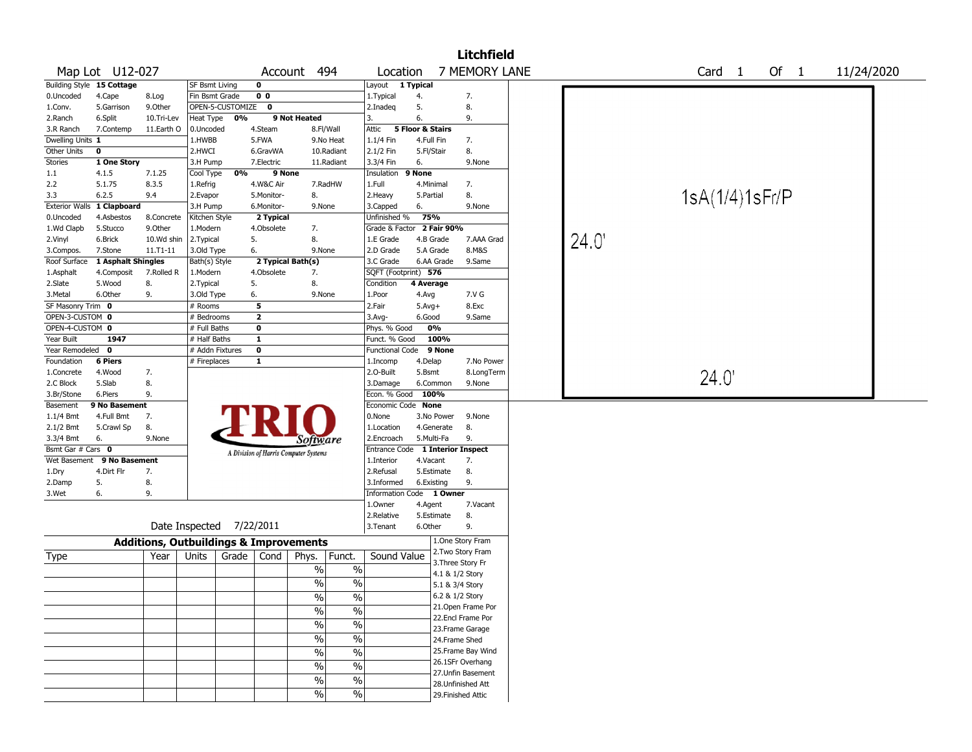|                   | <b>Litchfield</b>          |               |                                                   |                                       |                          |                          |                                  |                    |  |                |                   |        |            |
|-------------------|----------------------------|---------------|---------------------------------------------------|---------------------------------------|--------------------------|--------------------------|----------------------------------|--------------------|--|----------------|-------------------|--------|------------|
|                   | Map Lot U12-027            |               |                                                   |                                       | Account 494              | Location                 |                                  | 7 MEMORY LANE      |  |                | Card <sub>1</sub> | Of $1$ | 11/24/2020 |
|                   | Building Style 15 Cottage  |               | <b>SF Bsmt Living</b>                             | 0                                     |                          | Layout 1 Typical         |                                  |                    |  |                |                   |        |            |
| 0.Uncoded         | 4.Cape                     | 8.Log         | Fin Bsmt Grade                                    | 0 <sub>0</sub>                        |                          | 1.Typical                | 4.                               | 7.                 |  |                |                   |        |            |
| 1.Conv.           | 5.Garrison                 | 9.Other       | OPEN-5-CUSTOMIZE 0                                |                                       |                          | 2.Inadeq                 | 5.                               | 8.                 |  |                |                   |        |            |
| 2.Ranch           | 6.Split                    | 10.Tri-Lev    | 0%<br>Heat Type                                   |                                       | 9 Not Heated             | 3.                       | 6.                               | 9.                 |  |                |                   |        |            |
| 3.R Ranch         | 7.Contemp                  | 11.Earth O    | 0.Uncoded                                         | 4.Steam                               | 8.Fl/Wall                | Attic                    | 5 Floor & Stairs                 |                    |  |                |                   |        |            |
| Dwelling Units 1  |                            |               | 1.HWBB                                            | 5.FWA                                 | 9.No Heat                | 1.1/4 Fin                | 4.Full Fin                       | 7.                 |  |                |                   |        |            |
| Other Units       | $\mathbf 0$                |               | 2.HWCI                                            | 6.GravWA                              | 10.Radiant               | 2.1/2 Fin                | 5.Fl/Stair                       | 8.                 |  |                |                   |        |            |
| <b>Stories</b>    | 1 One Story                |               | 3.H Pump                                          | 7.Electric                            | 11.Radiant               | 3.3/4 Fin                | 6.                               | 9.None             |  |                |                   |        |            |
| 1.1               | 4.1.5                      | 7.1.25        | 0%<br>Cool Type                                   | 9 None                                |                          | Insulation               | 9 None                           |                    |  |                |                   |        |            |
| 2.2               | 5.1.75                     | 8.3.5         | 1.Refrig                                          | 4.W&C Air                             | 7.RadHW                  | 1.Full                   | 4.Minimal                        | 7.                 |  |                |                   |        |            |
| 3.3               | 6.2.5                      | 9.4           | 2.Evapor                                          | 5.Monitor-                            | 8.                       | 2.Heavy                  | 5.Partial                        | 8.                 |  |                | 1sA(1/4)1sFr/P    |        |            |
|                   | Exterior Walls 1 Clapboard |               | 3.H Pump                                          | 6.Monitor-                            | 9.None                   | 3.Capped                 | 6.                               | 9.None             |  |                |                   |        |            |
| 0.Uncoded         | 4.Asbestos                 | 8.Concrete    | Kitchen Style                                     | 2 Typical                             |                          | Unfinished %             | 75%                              |                    |  |                |                   |        |            |
| 1.Wd Clapb        | 5.Stucco                   | 9.Other       | 1.Modern                                          | 4.Obsolete                            | 7.                       |                          | Grade & Factor 2 Fair 90%        |                    |  |                |                   |        |            |
| 2.Vinyl           | 6.Brick                    | 10.Wd shin    | 2. Typical                                        | 5.                                    | 8.                       | 1.E Grade                | 4.B Grade                        | 7.AAA Grad         |  | $24.0^{\circ}$ |                   |        |            |
| 3.Compos.         | 7.Stone                    | $11. T1 - 11$ | 3.Old Type                                        | 6.                                    | 9.None                   | 2.D Grade                | 5.A Grade                        | 8.M&S              |  |                |                   |        |            |
| Roof Surface      | 1 Asphalt Shingles         |               | Bath(s) Style                                     | 2 Typical Bath(s)                     |                          | 3.C Grade                | 6.AA Grade                       | 9.Same             |  |                |                   |        |            |
| 1.Asphalt         | 4.Composit                 | 7.Rolled R    | 1.Modern                                          | 4.Obsolete                            | 7.                       | SQFT (Footprint) 576     |                                  |                    |  |                |                   |        |            |
| 2.Slate           | 5.Wood                     | 8.            | 2. Typical                                        | 5.                                    | 8.                       | Condition                | 4 Average                        |                    |  |                |                   |        |            |
| 3.Metal           | 6.Other                    | 9.            | 3.Old Type                                        | 6.                                    | 9.None                   | 1.Poor                   | 4.Avg                            | 7.V G              |  |                |                   |        |            |
| SF Masonry Trim 0 |                            |               | # Rooms                                           | 5                                     |                          | 2.Fair                   | $5.Avg+$                         | 8.Exc              |  |                |                   |        |            |
| OPEN-3-CUSTOM 0   |                            |               | # Bedrooms                                        | $\mathbf{2}$                          |                          | 3.Avg-                   | 6.Good                           | 9.Same             |  |                |                   |        |            |
| OPEN-4-CUSTOM 0   |                            |               | # Full Baths                                      | 0                                     |                          | Phys. % Good             | 0%                               |                    |  |                |                   |        |            |
| Year Built        | 1947                       |               | # Half Baths                                      | $\mathbf{1}$                          |                          | Funct. % Good            | 100%                             |                    |  |                |                   |        |            |
| Year Remodeled    | $\mathbf{o}$               |               | # Addn Fixtures                                   | 0                                     |                          | <b>Functional Code</b>   | 9 None                           |                    |  |                |                   |        |            |
| Foundation        | 6 Piers                    |               | # Fireplaces                                      | $\mathbf{1}$                          |                          | 1.Incomp                 | 4.Delap                          | 7.No Power         |  |                |                   |        |            |
| 1.Concrete        | 4.Wood                     | 7.            |                                                   |                                       |                          | 2.O-Built                | 5.Bsmt                           | 8.LongTerm         |  |                | $24.0^{\circ}$    |        |            |
| 2.C Block         | 5.Slab                     | 8.            |                                                   |                                       |                          | 3.Damage                 | 6.Common                         | 9.None             |  |                |                   |        |            |
| 3.Br/Stone        | 6.Piers                    | 9.            |                                                   |                                       |                          | Econ. % Good             | 100%                             |                    |  |                |                   |        |            |
| Basement          | 9 No Basement              |               |                                                   |                                       |                          | Economic Code None       |                                  |                    |  |                |                   |        |            |
| 1.1/4 Bmt         | 4.Full Bmt                 | 7.            |                                                   |                                       |                          | 0.None                   | 3.No Power                       | 9.None             |  |                |                   |        |            |
| 2.1/2 Bmt         | 5.Crawl Sp                 | 8.            |                                                   |                                       |                          | 1.Location               | 4.Generate                       | 8.                 |  |                |                   |        |            |
| 3.3/4 Bmt         | 6.                         | 9.None        |                                                   |                                       | Software                 | 2.Encroach               | 5.Multi-Fa                       | 9.                 |  |                |                   |        |            |
| Bsmt Gar # Cars 0 |                            |               |                                                   | A Division of Harris Computer Systems |                          |                          | Entrance Code 1 Interior Inspect |                    |  |                |                   |        |            |
| Wet Basement      | 9 No Basement              |               |                                                   |                                       |                          | 1.Interior               | 4.Vacant                         | 7.                 |  |                |                   |        |            |
| 1.Dry             | 4.Dirt Flr                 | 7.            |                                                   |                                       |                          | 2.Refusal                | 5.Estimate                       | 8.                 |  |                |                   |        |            |
| 2.Damp            | 5.                         | 8.            |                                                   |                                       |                          | 3.Informed               | 6.Existing                       | 9.                 |  |                |                   |        |            |
| 3.Wet             | 6.                         | 9.            |                                                   |                                       |                          |                          | Information Code 1 Owner         |                    |  |                |                   |        |            |
|                   |                            |               |                                                   |                                       |                          | 1.Owner                  | 4.Agent                          | 7.Vacant           |  |                |                   |        |            |
|                   |                            |               |                                                   |                                       |                          | 2.Relative               | 5.Estimate                       | 8.                 |  |                |                   |        |            |
|                   |                            |               | Date Inspected 7/22/2011                          |                                       |                          | 3. Tenant                | 6.Other                          | 9.                 |  |                |                   |        |            |
|                   |                            |               | <b>Additions, Outbuildings &amp; Improvements</b> |                                       |                          |                          |                                  | 1.One Story Fram   |  |                |                   |        |            |
| Type              |                            | Year          | Units                                             | Grade   Cond                          | Funct.<br>Phys.          | Sound Value              |                                  | 2. Two Story Fram  |  |                |                   |        |            |
|                   |                            |               |                                                   |                                       | $\%$                     | $\%$                     |                                  | 3. Three Story Fr  |  |                |                   |        |            |
|                   |                            |               |                                                   |                                       |                          |                          |                                  | 4.1 & 1/2 Story    |  |                |                   |        |            |
|                   |                            |               |                                                   |                                       | $\%$                     | $\%$                     |                                  | 5.1 & 3/4 Story    |  |                |                   |        |            |
|                   |                            |               |                                                   |                                       | $\overline{\frac{0}{0}}$ | $\overline{\frac{0}{0}}$ |                                  | 6.2 & 1/2 Story    |  |                |                   |        |            |
|                   |                            |               |                                                   |                                       | $\frac{0}{0}$            | $\%$                     |                                  | 21.Open Frame Por  |  |                |                   |        |            |
|                   |                            |               |                                                   |                                       | %                        | $\%$                     |                                  | 22.Encl Frame Por  |  |                |                   |        |            |
|                   |                            |               |                                                   |                                       |                          |                          |                                  | 23. Frame Garage   |  |                |                   |        |            |
|                   |                            |               |                                                   |                                       | $\frac{0}{0}$            | $\%$                     |                                  | 24.Frame Shed      |  |                |                   |        |            |
|                   |                            |               |                                                   |                                       | %                        | $\overline{\frac{0}{6}}$ |                                  | 25. Frame Bay Wind |  |                |                   |        |            |
|                   |                            |               |                                                   |                                       | $\sqrt{6}$               | $\overline{\frac{0}{6}}$ |                                  | 26.1SFr Overhang   |  |                |                   |        |            |
|                   |                            |               |                                                   |                                       | $\%$                     | $\%$                     |                                  | 27. Unfin Basement |  |                |                   |        |            |
|                   |                            |               |                                                   |                                       |                          |                          |                                  | 28. Unfinished Att |  |                |                   |        |            |
|                   |                            |               |                                                   |                                       | $\sqrt{6}$               | $\%$                     |                                  | 29. Finished Attic |  |                |                   |        |            |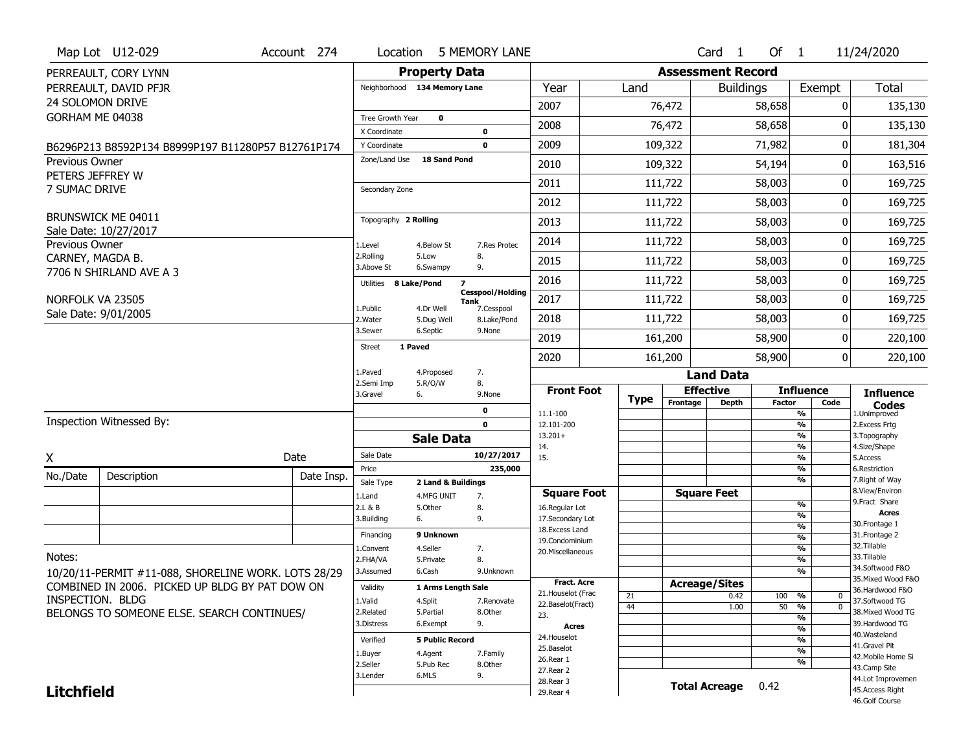|                                    | Map Lot U12-029                                     | Account 274 | Location                |                              | 5 MEMORY LANE                                 |                                    |             |                  | Card <sub>1</sub>        | Of $1$        |                                | 11/24/2020                          |  |
|------------------------------------|-----------------------------------------------------|-------------|-------------------------|------------------------------|-----------------------------------------------|------------------------------------|-------------|------------------|--------------------------|---------------|--------------------------------|-------------------------------------|--|
|                                    | PERREAULT, CORY LYNN                                |             |                         | <b>Property Data</b>         |                                               |                                    |             |                  | <b>Assessment Record</b> |               |                                |                                     |  |
|                                    | PERREAULT, DAVID PFJR                               |             |                         | Neighborhood 134 Memory Lane |                                               | Year                               | Land        |                  | <b>Buildings</b>         |               | Exempt                         | <b>Total</b>                        |  |
|                                    | 24 SOLOMON DRIVE                                    |             |                         |                              |                                               | 2007                               |             | 76,472           |                          | 58,658        | 0                              | 135,130                             |  |
| GORHAM ME 04038                    |                                                     |             | Tree Growth Year        | $\mathbf 0$                  |                                               | 2008                               |             | 76,472           |                          | 58,658        | ŋ                              | 135,130                             |  |
|                                    |                                                     |             | X Coordinate            |                              | $\mathbf 0$                                   |                                    |             |                  |                          |               |                                |                                     |  |
|                                    | B6296P213 B8592P134 B8999P197 B11280P57 B12761P174  |             | Y Coordinate            | <b>18 Sand Pond</b>          | $\mathbf 0$                                   | 2009                               |             | 109,322          |                          | 71,982        | 0                              | 181,304                             |  |
| Previous Owner<br>PETERS JEFFREY W |                                                     |             | Zone/Land Use           |                              |                                               | 2010                               |             | 109,322          |                          | 54,194        | 0                              | 163,516                             |  |
| 7 SUMAC DRIVE                      |                                                     |             | Secondary Zone          |                              |                                               | 2011                               |             | 111,722          |                          | 58,003        | 0                              | 169,725                             |  |
|                                    |                                                     |             |                         |                              |                                               | 2012                               |             | 111,722          |                          | 58,003        | 0                              | 169,725                             |  |
|                                    | BRUNSWICK ME 04011                                  |             | Topography 2 Rolling    |                              |                                               | 2013                               |             | 111,722          |                          | 58,003        | 0                              | 169,725                             |  |
| Previous Owner                     | Sale Date: 10/27/2017                               |             | 1.Level                 | 4.Below St                   | 7.Res Protec                                  | 2014                               |             | 111,722          |                          | 58,003        | 0                              | 169,725                             |  |
| CARNEY, MAGDA B.                   |                                                     |             | 2.Rolling<br>3.Above St | 5.Low<br>6.Swampy            | 8.<br>9.                                      | 2015                               |             | 111,722          |                          | 58,003        | 0                              | 169,725                             |  |
|                                    | 7706 N SHIRLAND AVE A 3                             |             | Utilities 8 Lake/Pond   |                              | $\overline{\phantom{a}}$                      | 2016                               |             | 111,722          |                          | 58,003        | 0                              | 169,725                             |  |
| NORFOLK VA 23505                   |                                                     |             |                         |                              | <b>Cesspool/Holding</b><br>Tank<br>7.Cesspool | 2017                               |             | 111,722          |                          | 58,003        | 0                              | 169,725                             |  |
|                                    | Sale Date: 9/01/2005                                |             | 1.Public<br>2. Water    | 4.Dr Well<br>5.Dug Well      | 8.Lake/Pond                                   | 2018                               |             | 111,722          |                          | 58,003        | 0                              | 169,725                             |  |
|                                    |                                                     |             | 3.Sewer                 | 6.Septic                     | 9.None                                        | 2019                               |             | 161,200          |                          | 58,900        | 0                              | 220,100                             |  |
|                                    |                                                     |             | <b>Street</b>           | 1 Paved                      |                                               | 2020                               |             | 161,200          |                          | 58,900        | 0                              | 220,100                             |  |
|                                    |                                                     |             | 1.Paved                 | 4.Proposed                   | 7.                                            |                                    |             |                  | <b>Land Data</b>         |               |                                |                                     |  |
|                                    |                                                     |             | 2.Semi Imp              | 5.R/O/W                      | 8.                                            |                                    |             |                  |                          |               | <b>Influence</b>               |                                     |  |
|                                    |                                                     |             | 3.Gravel                | 6.                           | 9.None                                        | <b>Front Foot</b>                  |             | <b>Effective</b> |                          |               |                                |                                     |  |
|                                    |                                                     |             |                         |                              |                                               |                                    | <b>Type</b> | Frontage         | <b>Depth</b>             | <b>Factor</b> | Code                           | <b>Influence</b><br><b>Codes</b>    |  |
|                                    | Inspection Witnessed By:                            |             |                         |                              | 0<br>$\mathbf 0$                              | 11.1-100<br>12.101-200             |             |                  |                          |               | %<br>$\frac{9}{6}$             | 1.Unimproved<br>2. Excess Frtg      |  |
|                                    |                                                     |             |                         | <b>Sale Data</b>             |                                               | $13.201+$                          |             |                  |                          |               | $\overline{\frac{9}{6}}$       | 3. Topography                       |  |
|                                    |                                                     |             | Sale Date               |                              | 10/27/2017                                    | 14.<br>15.                         |             |                  |                          |               | $\frac{9}{6}$                  | 4.Size/Shape<br>5.Access            |  |
| X                                  |                                                     | Date        | Price                   |                              | 235,000                                       |                                    |             |                  |                          |               | $\overline{\frac{9}{6}}$<br>%  | 6.Restriction                       |  |
| No./Date                           | Description                                         | Date Insp.  | Sale Type               | 2 Land & Buildings           |                                               |                                    |             |                  |                          |               | %                              | 7. Right of Way                     |  |
|                                    |                                                     |             | 1.Land                  | 4.MFG UNIT                   | 7.                                            | <b>Square Foot</b>                 |             |                  | <b>Square Feet</b>       |               | %                              | 8.View/Environ<br>9. Fract Share    |  |
|                                    |                                                     |             | 2.L & B<br>3.Building   | 5.0ther<br>6.                | 8.<br>9.                                      | 16.Regular Lot<br>17.Secondary Lot |             |                  |                          |               | %                              | <b>Acres</b>                        |  |
|                                    |                                                     |             |                         |                              |                                               | 18. Excess Land                    |             |                  |                          |               | %                              | 30. Frontage 1                      |  |
|                                    |                                                     |             | Financing               | 9 Unknown                    |                                               | 19.Condominium                     |             |                  |                          |               | %                              | 31. Frontage 2<br>32. Tillable      |  |
| Notes:                             |                                                     |             | 1.Convent<br>2.FHA/VA   | 4.Seller<br>5.Private        | 7.<br>8.                                      | 20.Miscellaneous                   |             |                  |                          |               | %<br>%                         | 33.Tillable                         |  |
|                                    | 10/20/11-PERMIT #11-088, SHORELINE WORK. LOTS 28/29 |             | 3.Assumed               | 6.Cash                       | 9.Unknown                                     |                                    |             |                  |                          |               | %                              | 34.Softwood F&O                     |  |
|                                    | COMBINED IN 2006. PICKED UP BLDG BY PAT DOW ON      |             | Validity                | 1 Arms Length Sale           |                                               | <b>Fract, Acre</b>                 |             |                  | <b>Acreage/Sites</b>     |               |                                | 35. Mixed Wood F&O                  |  |
| INSPECTION. BLDG                   |                                                     |             | 1.Valid                 |                              | 7.Renovate                                    | 21. Houselot (Frac                 | 21          |                  | 0.42                     | 100           | %<br>0                         | 36.Hardwood F&O                     |  |
|                                    |                                                     |             | 2.Related               | 4.Split<br>5.Partial         | 8.Other                                       | 22.Baselot(Fract)<br>23.           | 44          |                  | 1.00                     | 50            | $\overline{\mathfrak{o}}$<br>% | 37.Softwood TG<br>38. Mixed Wood TG |  |
|                                    | BELONGS TO SOMEONE ELSE. SEARCH CONTINUES/          |             | 3.Distress              | 6.Exempt                     | 9.                                            | <b>Acres</b>                       |             |                  |                          |               | $\overline{\frac{9}{6}}$       | 39.Hardwood TG                      |  |
|                                    |                                                     |             | Verified                | <b>5 Public Record</b>       |                                               | 24. Houselot                       |             |                  |                          |               | %<br>%                         | 40. Wasteland                       |  |
|                                    |                                                     |             | 1.Buyer                 | 4.Agent                      | 7.Family                                      | 25.Baselot                         |             |                  |                          |               | $\frac{9}{6}$                  | 41.Gravel Pit                       |  |
|                                    |                                                     |             | 2.Seller                | 5.Pub Rec                    | 8.Other                                       | 26.Rear 1                          |             |                  |                          |               | %                              | 42. Mobile Home Si<br>43.Camp Site  |  |
|                                    |                                                     |             | 3.Lender                | 6.MLS                        | 9.                                            | 27.Rear 2<br>28. Rear 3            |             |                  |                          |               |                                | 44.Lot Improvemen                   |  |
| <b>Litchfield</b>                  |                                                     |             |                         |                              |                                               | 29. Rear 4                         |             |                  | <b>Total Acreage</b>     | 0.42          |                                | 45.Access Right<br>46.Golf Course   |  |